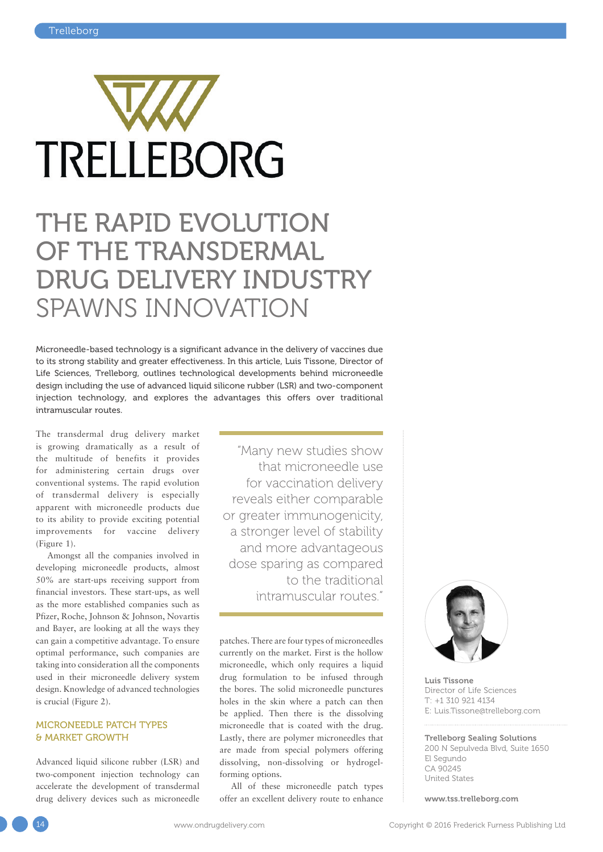

# THE RAPID EVOLUTION OF THE TRANSDERMAL DRUG DELIVERY INDUSTRY SPAWNS INNOVATION

Microneedle-based technology is a significant advance in the delivery of vaccines due to its strong stability and greater effectiveness. In this article, Luis Tissone, Director of Life Sciences, Trelleborg, outlines technological developments behind microneedle design including the use of advanced liquid silicone rubber (LSR) and two-component injection technology, and explores the advantages this offers over traditional intramuscular routes.

The transdermal drug delivery market is growing dramatically as a result of the multitude of benefits it provides for administering certain drugs over conventional systems. The rapid evolution of transdermal delivery is especially apparent with microneedle products due to its ability to provide exciting potential improvements for vaccine delivery (Figure 1).

Amongst all the companies involved in developing microneedle products, almost 50% are start-ups receiving support from financial investors. These start-ups, as well as the more established companies such as Pfizer, Roche, Johnson & Johnson, Novartis and Bayer, are looking at all the ways they can gain a competitive advantage. To ensure optimal performance, such companies are taking into consideration all the components used in their microneedle delivery system design. Knowledge of advanced technologies is crucial (Figure 2).

## MICRONEEDLE PATCH TYPES & MARKET GROWTH

Advanced liquid silicone rubber (LSR) and two-component injection technology can accelerate the development of transdermal drug delivery devices such as microneedle

"Many new studies show that microneedle use for vaccination delivery reveals either comparable or greater immunogenicity, a stronger level of stability and more advantageous dose sparing as compared to the traditional intramuscular routes."

patches. There are four types of microneedles currently on the market. First is the hollow microneedle, which only requires a liquid drug formulation to be infused through the bores. The solid microneedle punctures holes in the skin where a patch can then be applied. Then there is the dissolving microneedle that is coated with the drug. Lastly, there are polymer microneedles that are made from special polymers offering dissolving, non-dissolving or hydrogelforming options.

All of these microneedle patch types offer an excellent delivery route to enhance



Luis Tissone Director of Life Sciences T: +1 310 921 4134 E: Luis.Tissone@trelleborg.com

Trelleborg Sealing Solutions 200 N Sepulveda Blvd, Suite 1650 El Segundo CA 90245 United States

www.tss.trelleborg.com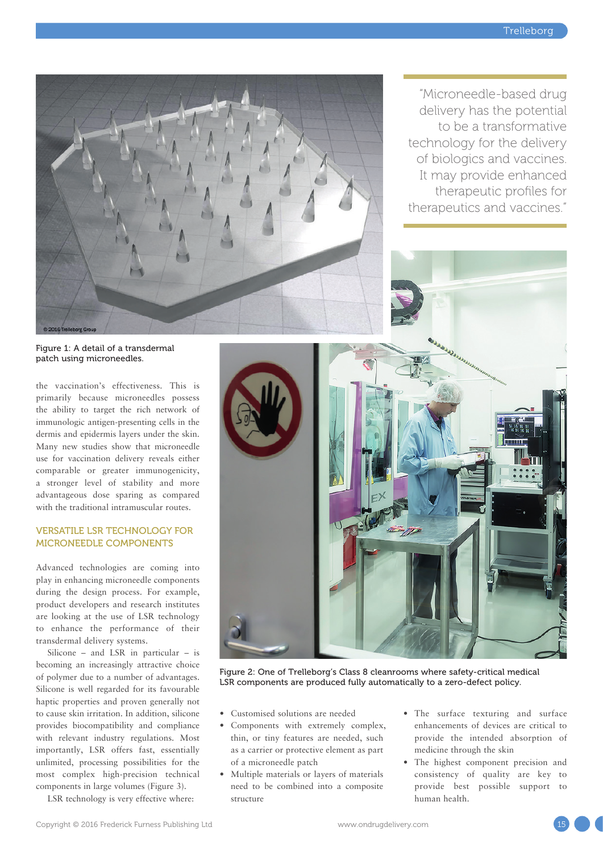"Microneedle-based drug delivery has the potential to be a transformative

technology for the delivery of biologics and vaccines. It may provide enhanced therapeutic profiles for

therapeutics and vaccines."

Figure 1: A detail of a transdermal patch using microneedles.

the vaccination's effectiveness. This is primarily because microneedles possess the ability to target the rich network of immunologic antigen-presenting cells in the dermis and epidermis layers under the skin. Many new studies show that microneedle use for vaccination delivery reveals either comparable or greater immunogenicity, a stronger level of stability and more advantageous dose sparing as compared with the traditional intramuscular routes.

## VERSATILE LSR TECHNOLOGY FOR MICRONEEDLE COMPONENTS

Advanced technologies are coming into play in enhancing microneedle components during the design process. For example, product developers and research institutes are looking at the use of LSR technology to enhance the performance of their transdermal delivery systems.

Silicone – and LSR in particular – is becoming an increasingly attractive choice of polymer due to a number of advantages. Silicone is well regarded for its favourable haptic properties and proven generally not to cause skin irritation. In addition, silicone provides biocompatibility and compliance with relevant industry regulations. Most importantly, LSR offers fast, essentially unlimited, processing possibilities for the most complex high-precision technical components in large volumes (Figure 3).

LSR technology is very effective where:



Figure 2: One of Trelleborg's Class 8 cleanrooms where safety-critical medical LSR components are produced fully automatically to a zero-defect policy.

- Customised solutions are needed
- Components with extremely complex, thin, or tiny features are needed, such as a carrier or protective element as part of a microneedle patch
- Multiple materials or layers of materials need to be combined into a composite structure
- The surface texturing and surface enhancements of devices are critical to provide the intended absorption of medicine through the skin
- The highest component precision and consistency of quality are key to provide best possible support to human health.